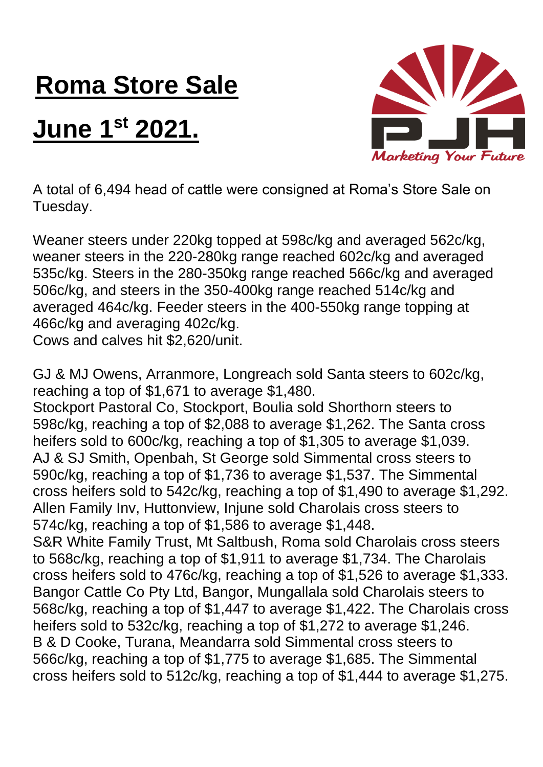## **Roma Store Sale**

## **June 1st 2021.**



A total of 6,494 head of cattle were consigned at Roma's Store Sale on Tuesday.

Weaner steers under 220kg topped at 598c/kg and averaged 562c/kg, weaner steers in the 220-280kg range reached 602c/kg and averaged 535c/kg. Steers in the 280-350kg range reached 566c/kg and averaged 506c/kg, and steers in the 350-400kg range reached 514c/kg and averaged 464c/kg. Feeder steers in the 400-550kg range topping at 466c/kg and averaging 402c/kg.

Cows and calves hit \$2,620/unit.

GJ & MJ Owens, Arranmore, Longreach sold Santa steers to 602c/kg, reaching a top of \$1,671 to average \$1,480. Stockport Pastoral Co, Stockport, Boulia sold Shorthorn steers to 598c/kg, reaching a top of \$2,088 to average \$1,262. The Santa cross heifers sold to 600c/kg, reaching a top of \$1,305 to average \$1,039. AJ & SJ Smith, Openbah, St George sold Simmental cross steers to 590c/kg, reaching a top of \$1,736 to average \$1,537. The Simmental cross heifers sold to 542c/kg, reaching a top of \$1,490 to average \$1,292. Allen Family Inv, Huttonview, Injune sold Charolais cross steers to 574c/kg, reaching a top of \$1,586 to average \$1,448. S&R White Family Trust, Mt Saltbush, Roma sold Charolais cross steers to 568c/kg, reaching a top of \$1,911 to average \$1,734. The Charolais cross heifers sold to 476c/kg, reaching a top of \$1,526 to average \$1,333. Bangor Cattle Co Pty Ltd, Bangor, Mungallala sold Charolais steers to 568c/kg, reaching a top of \$1,447 to average \$1,422. The Charolais cross heifers sold to 532c/kg, reaching a top of \$1,272 to average \$1,246. B & D Cooke, Turana, Meandarra sold Simmental cross steers to 566c/kg, reaching a top of \$1,775 to average \$1,685. The Simmental cross heifers sold to 512c/kg, reaching a top of \$1,444 to average \$1,275.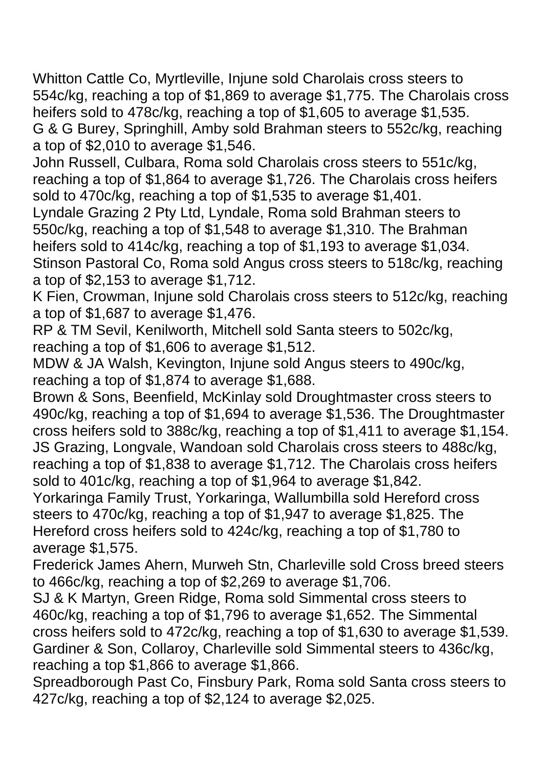Whitton Cattle Co, Myrtleville, Injune sold Charolais cross steers to 554c/kg, reaching a top of \$1,869 to average \$1,775. The Charolais cross heifers sold to 478c/kg, reaching a top of \$1,605 to average \$1,535. G & G Burey, Springhill, Amby sold Brahman steers to 552c/kg, reaching a top of \$2,010 to average \$1,546.

John Russell, Culbara, Roma sold Charolais cross steers to 551c/kg, reaching a top of \$1,864 to average \$1,726. The Charolais cross heifers sold to 470c/kg, reaching a top of \$1,535 to average \$1,401.

Lyndale Grazing 2 Pty Ltd, Lyndale, Roma sold Brahman steers to 550c/kg, reaching a top of \$1,548 to average \$1,310. The Brahman heifers sold to 414c/kg, reaching a top of \$1,193 to average \$1,034. Stinson Pastoral Co, Roma sold Angus cross steers to 518c/kg, reaching

a top of \$2,153 to average \$1,712.

K Fien, Crowman, Injune sold Charolais cross steers to 512c/kg, reaching a top of \$1,687 to average \$1,476.

RP & TM Sevil, Kenilworth, Mitchell sold Santa steers to 502c/kg, reaching a top of \$1,606 to average \$1,512.

MDW & JA Walsh, Kevington, Injune sold Angus steers to 490c/kg, reaching a top of \$1,874 to average \$1,688.

Brown & Sons, Beenfield, McKinlay sold Droughtmaster cross steers to 490c/kg, reaching a top of \$1,694 to average \$1,536. The Droughtmaster cross heifers sold to 388c/kg, reaching a top of \$1,411 to average \$1,154. JS Grazing, Longvale, Wandoan sold Charolais cross steers to 488c/kg, reaching a top of \$1,838 to average \$1,712. The Charolais cross heifers sold to 401c/kg, reaching a top of \$1,964 to average \$1,842.

Yorkaringa Family Trust, Yorkaringa, Wallumbilla sold Hereford cross steers to 470c/kg, reaching a top of \$1,947 to average \$1,825. The Hereford cross heifers sold to 424c/kg, reaching a top of \$1,780 to average \$1,575.

Frederick James Ahern, Murweh Stn, Charleville sold Cross breed steers to 466c/kg, reaching a top of \$2,269 to average \$1,706.

SJ & K Martyn, Green Ridge, Roma sold Simmental cross steers to 460c/kg, reaching a top of \$1,796 to average \$1,652. The Simmental cross heifers sold to 472c/kg, reaching a top of \$1,630 to average \$1,539. Gardiner & Son, Collaroy, Charleville sold Simmental steers to 436c/kg, reaching a top \$1,866 to average \$1,866.

Spreadborough Past Co, Finsbury Park, Roma sold Santa cross steers to 427c/kg, reaching a top of \$2,124 to average \$2,025.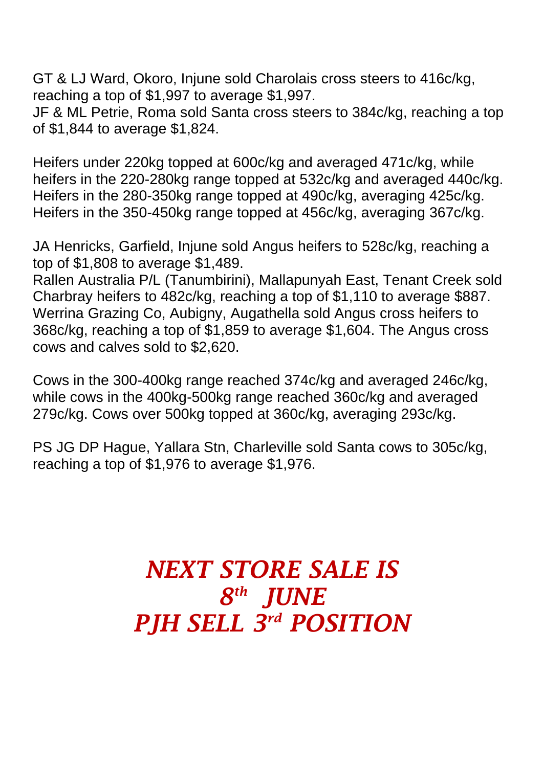GT & LJ Ward, Okoro, Injune sold Charolais cross steers to 416c/kg, reaching a top of \$1,997 to average \$1,997.

JF & ML Petrie, Roma sold Santa cross steers to 384c/kg, reaching a top of \$1,844 to average \$1,824.

Heifers under 220kg topped at 600c/kg and averaged 471c/kg, while heifers in the 220-280kg range topped at 532c/kg and averaged 440c/kg. Heifers in the 280-350kg range topped at 490c/kg, averaging 425c/kg. Heifers in the 350-450kg range topped at 456c/kg, averaging 367c/kg.

JA Henricks, Garfield, Injune sold Angus heifers to 528c/kg, reaching a top of \$1,808 to average \$1,489.

Rallen Australia P/L (Tanumbirini), Mallapunyah East, Tenant Creek sold Charbray heifers to 482c/kg, reaching a top of \$1,110 to average \$887. Werrina Grazing Co, Aubigny, Augathella sold Angus cross heifers to 368c/kg, reaching a top of \$1,859 to average \$1,604. The Angus cross cows and calves sold to \$2,620.

Cows in the 300-400kg range reached 374c/kg and averaged 246c/kg, while cows in the 400kg-500kg range reached 360c/kg and averaged 279c/kg. Cows over 500kg topped at 360c/kg, averaging 293c/kg.

PS JG DP Hague, Yallara Stn, Charleville sold Santa cows to 305c/kg, reaching a top of \$1,976 to average \$1,976.

## *NEXT STORE SALE IS 8 th JUNE PJH SELL 3 rd POSITION*